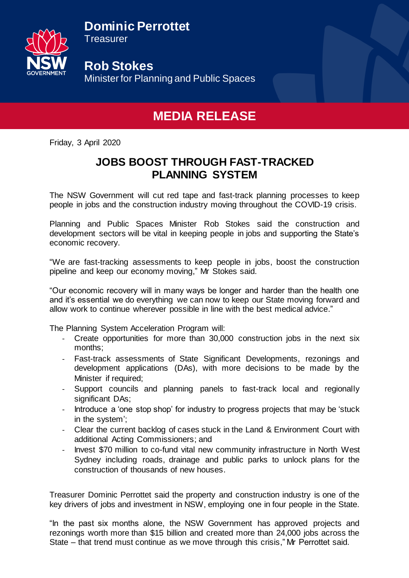**Dominic Perrottet** 



**Treasurer** 

**Rob Stokes** Minister for Planning and Public Spaces

## **MEDIA RELEASE**

Friday, 3 April 2020

## **JOBS BOOST THROUGH FAST-TRACKED PLANNING SYSTEM**

The NSW Government will cut red tape and fast-track planning processes to keep people in jobs and the construction industry moving throughout the COVID-19 crisis.

Planning and Public Spaces Minister Rob Stokes said the construction and development sectors will be vital in keeping people in jobs and supporting the State's economic recovery.

"We are fast-tracking assessments to keep people in jobs, boost the construction pipeline and keep our economy moving," Mr Stokes said.

"Our economic recovery will in many ways be longer and harder than the health one and it's essential we do everything we can now to keep our State moving forward and allow work to continue wherever possible in line with the best medical advice."

The Planning System Acceleration Program will:

- Create opportunities for more than 30,000 construction jobs in the next six months;
- Fast-track assessments of State Significant Developments, rezonings and development applications (DAs), with more decisions to be made by the Minister if required;
- Support councils and planning panels to fast-track local and regionally significant DAs;
- Introduce a 'one stop shop' for industry to progress projects that may be 'stuck in the system';
- Clear the current backlog of cases stuck in the Land & Environment Court with additional Acting Commissioners; and
- Invest \$70 million to co-fund vital new community infrastructure in North West Sydney including roads, drainage and public parks to unlock plans for the construction of thousands of new houses.

Treasurer Dominic Perrottet said the property and construction industry is one of the key drivers of jobs and investment in NSW, employing one in four people in the State.

"In the past six months alone, the NSW Government has approved projects and rezonings worth more than \$15 billion and created more than 24,000 jobs across the State – that trend must continue as we move through this crisis," Mr Perrottet said.